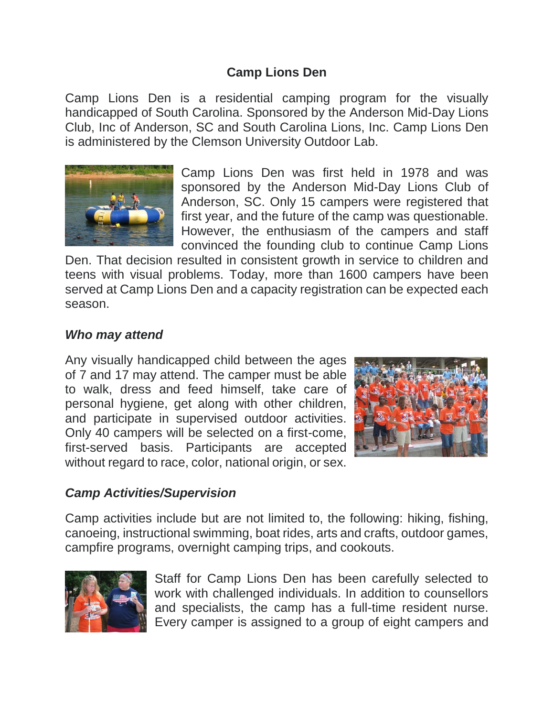## **Camp Lions Den**

Camp Lions Den is a residential camping program for the visually handicapped of South Carolina. Sponsored by the Anderson Mid-Day Lions Club, Inc of Anderson, SC and South Carolina Lions, Inc. Camp Lions Den is administered by the Clemson University Outdoor Lab.



Camp Lions Den was first held in 1978 and was sponsored by the Anderson Mid-Day Lions Club of Anderson, SC. Only 15 campers were registered that first year, and the future of the camp was questionable. However, the enthusiasm of the campers and staff convinced the founding club to continue Camp Lions

Den. That decision resulted in consistent growth in service to children and teens with visual problems. Today, more than 1600 campers have been served at Camp Lions Den and a capacity registration can be expected each season.

## *Who may attend*

Any visually handicapped child between the ages of 7 and 17 may attend. The camper must be able to walk, dress and feed himself, take care of personal hygiene, get along with other children, and participate in supervised outdoor activities. Only 40 campers will be selected on a first-come, first-served basis. Participants are accepted without regard to race, color, national origin, or sex.



## *Camp Activities/Supervision*

Camp activities include but are not limited to, the following: hiking, fishing, canoeing, instructional swimming, boat rides, arts and crafts, outdoor games, campfire programs, overnight camping trips, and cookouts.



Staff for Camp Lions Den has been carefully selected to work with challenged individuals. In addition to counsellors and specialists, the camp has a full-time resident nurse. Every camper is assigned to a group of eight campers and